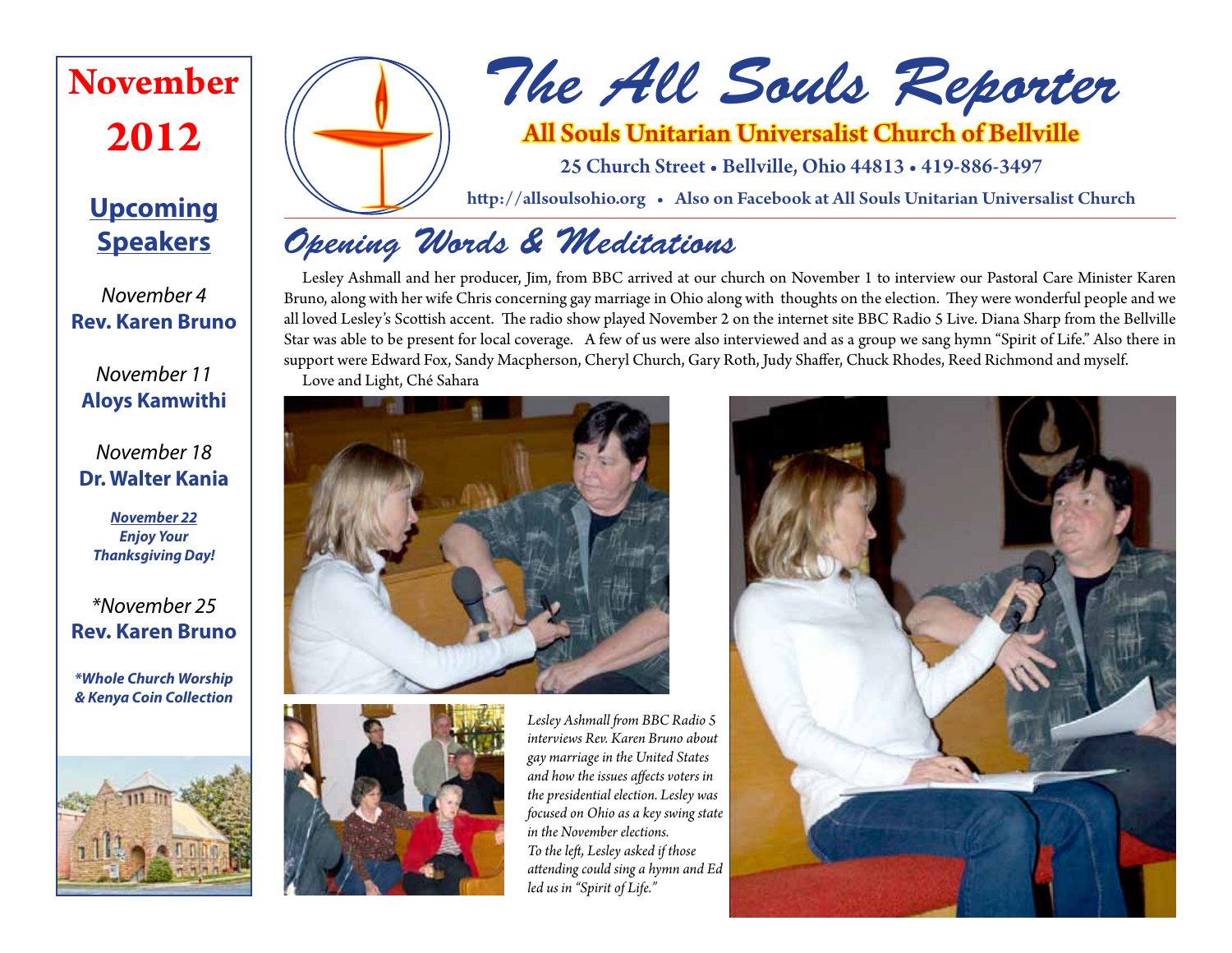# **November 2012**

# **Upcoming Speakers**

*November 4* **Rev. Karen Bruno**

*November 11* **Aloys Kamwithi**

# *November 18* **Dr. Walter Kania**

*November 22 Enjoy Your Thanksgiving Day!*

# *\*November 25* **Rev. Karen Bruno**

*\*Whole Church Worship & Kenya Coin Collection*





# *The All Souls Reporter*

# All Souls Unitarian Universalist Church of Bellville

25 Church Street • Bellville, Ohio 44813 • 419-886-3497

http://allsoulsohio.org • Also on Facebook at All Souls Unitarian Universalist Church

# *Opening Words & Meditations*

Lesley Ashmall and her producer, Jim, from BBC arrived at our church on November 1 to interview our Pastoral Care Minister Karen Bruno, along with her wife Chris concerning gay marriage in Ohio along with thoughts on the election. They were wonderful people and we all loved Lesley's Scottish accent. The radio show played November 2 on the internet site BBC Radio 5 Live. Diana Sharp from the Bellville Star was able to be present for local coverage. A few of us were also interviewed and as a group we sang hymn "Spirit of Life." Also there in support were Edward Fox, Sandy Macpherson, Cheryl Church, Gary Roth, Judy Shaffer, Chuck Rhodes, Reed Richmond and myself. Love and Light, Ché Sahara





*Lesley Ashmall from BBC Radio 5 interviews Rev. Karen Bruno about gay marriage in the United States and how the issues affects voters in the presidential election. Lesley was focused on Ohio as a key swing state in the November elections. To the left, Lesley asked if those attending could sing a hymn and Ed led us in "Spirit of Life."*

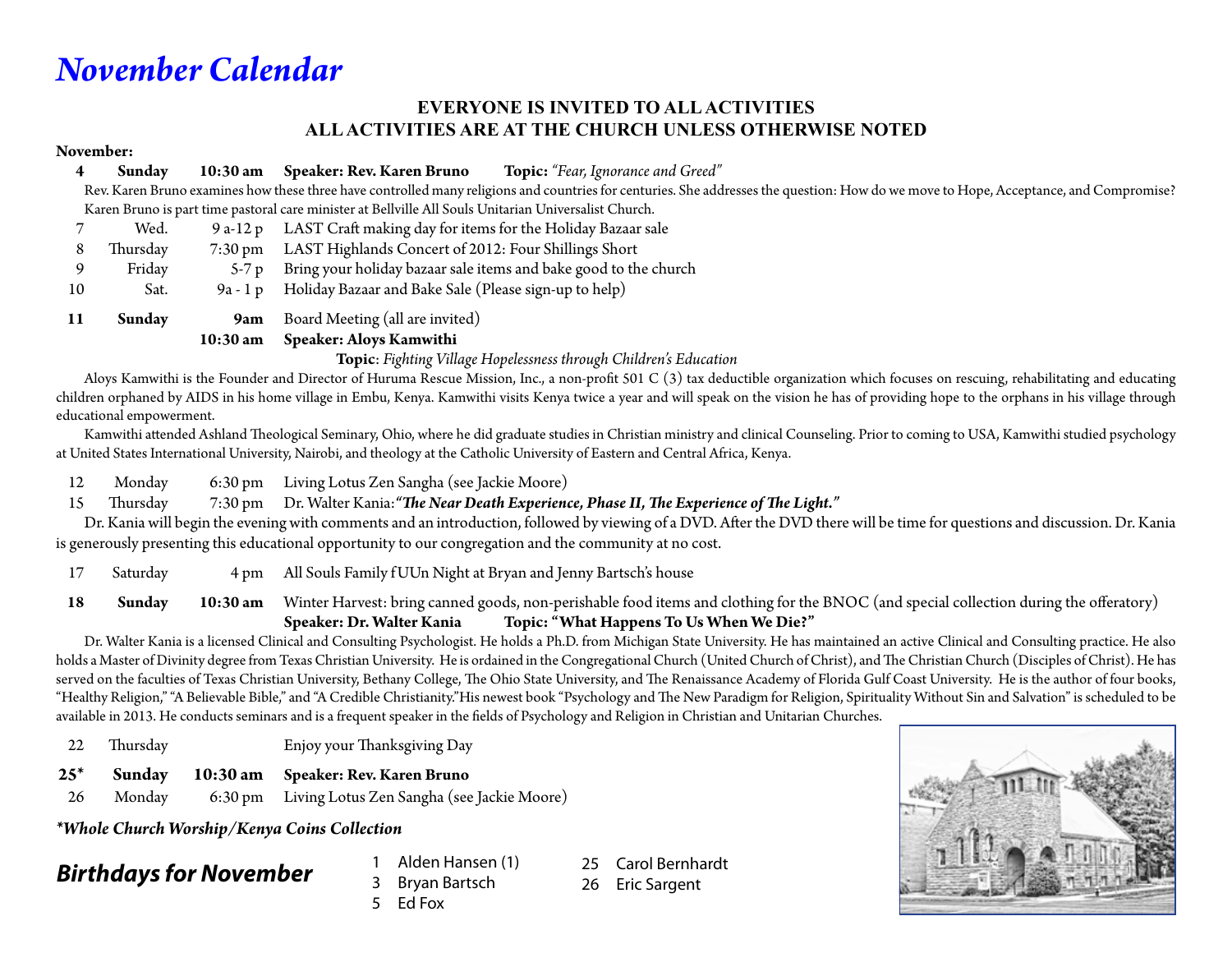# *November Calendar*

### **EVERYONE IS INVITED TO ALL ACTIVITIES ALL ACTIVITIES ARE AT THE CHURCH UNLESS OTHERWISE NOTED**

### **November:**

|    | Sunday   | 10:30 am          | <b>Topic:</b> "Fear, Ignorance and Greed"<br>Speaker: Rev. Karen Bruno                                                                                                                                                                                                                                                                                                                                                       |
|----|----------|-------------------|------------------------------------------------------------------------------------------------------------------------------------------------------------------------------------------------------------------------------------------------------------------------------------------------------------------------------------------------------------------------------------------------------------------------------|
|    |          |                   | Rev. Karen Bruno examines how these three have controlled many religions and countries for centuries. She addresses the question: How do we move to Hope, Acceptance, and Compromise?                                                                                                                                                                                                                                        |
|    |          |                   | Karen Bruno is part time pastoral care minister at Bellville All Souls Unitarian Universalist Church.                                                                                                                                                                                                                                                                                                                        |
|    | Wed.     | 9 a-12 p          | LAST Craft making day for items for the Holiday Bazaar sale                                                                                                                                                                                                                                                                                                                                                                  |
| 8  | Thursday | $7:30 \text{ pm}$ | LAST Highlands Concert of 2012: Four Shillings Short                                                                                                                                                                                                                                                                                                                                                                         |
|    | Friday   | $5-7p$            | Bring your holiday bazaar sale items and bake good to the church                                                                                                                                                                                                                                                                                                                                                             |
| 10 | Sat.     | 9a - 1 p          | Holiday Bazaar and Bake Sale (Please sign-up to help)                                                                                                                                                                                                                                                                                                                                                                        |
| 11 | Sunday   | 9am               | Board Meeting (all are invited)                                                                                                                                                                                                                                                                                                                                                                                              |
|    |          | 10:30 am          | <b>Speaker: Aloys Kamwithi</b>                                                                                                                                                                                                                                                                                                                                                                                               |
|    |          |                   | $\mathbf{r} = \mathbf{r} + \mathbf{r} + \mathbf{r} + \mathbf{r} + \mathbf{r} + \mathbf{r} + \mathbf{r} + \mathbf{r} + \mathbf{r} + \mathbf{r} + \mathbf{r} + \mathbf{r} + \mathbf{r} + \mathbf{r} + \mathbf{r} + \mathbf{r} + \mathbf{r} + \mathbf{r} + \mathbf{r} + \mathbf{r} + \mathbf{r} + \mathbf{r} + \mathbf{r} + \mathbf{r} + \mathbf{r} + \mathbf{r} + \mathbf{r} + \mathbf{r} + \mathbf{r} + \mathbf{r} + \mathbf$ |

**Topic**: *Fighting Village Hopelessness through Children's Education*

Aloys Kamwithi is the Founder and Director of Huruma Rescue Mission, Inc., a non-profit 501 C (3) tax deductible organization which focuses on rescuing, rehabilitating and educating children orphaned by AIDS in his home village in Embu, Kenya. Kamwithi visits Kenya twice a year and will speak on the vision he has of providing hope to the orphans in his village through educational empowerment.

 Kamwithi attended Ashland Theological Seminary, Ohio, where he did graduate studies in Christian ministry and clinical Counseling. Prior to coming to USA, Kamwithi studied psychology at United States International University, Nairobi, and theology at the Catholic University of Eastern and Central Africa, Kenya.

12 Monday 6:30 pm Living Lotus Zen Sangha (see Jackie Moore)

15 Thursday 7:30 pm Dr. Walter Kania:*"The Near Death Experience, Phase II, The Experience of The Light."* 

 Dr. Kania will begin the evening with comments and an introduction, followed by viewing of a DVD. After the DVD there will be time for questions and discussion. Dr. Kania is generously presenting this educational opportunity to our congregation and the community at no cost.

17 Saturday 4 pm All Souls Family f UUn Night at Bryan and Jenny Bartsch's house

**18 Sunday 10:30 am** Winter Harvest: bring canned goods, non-perishable food items and clothing for the BNOC (and special collection during the offeratory)  **Speaker: Dr. Walter Kania Topic: "What Happens To Us When We Die?"**

 Dr. Walter Kania is a licensed Clinical and Consulting Psychologist. He holds a Ph.D. from Michigan State University. He has maintained an active Clinical and Consulting practice. He also holds a Master of Divinity degree from Texas Christian University. He is ordained in the Congregational Church (United Church of Christ), and The Christian Church (Disciples of Christ). He has served on the faculties of Texas Christian University, Bethany College, The Ohio State University, and The Renaissance Academy of Florida Gulf Coast University. He is the author of four books, "Healthy Religion," "A Believable Bible," and "A Credible Christianity."His newest book "Psychology and The New Paradigm for Religion, Spirituality Without Sin and Salvation" is scheduled to be available in 2013. He conducts seminars and is a frequent speaker in the fields of Psychology and Religion in Christian and Unitarian Churches.

- 22 Thursday Enjoy your Thanksgiving Day
- **25\* Sunday 10:30 am Speaker: Rev. Karen Bruno**
- 26 Monday 6:30 pm Living Lotus Zen Sangha (see Jackie Moore)

*\*Whole Church Worship/Kenya Coins Collection*

# *Birthdays for November* 1 Alden Hansen (1)

3 Bryan Bartsch 5 Ed Fox

25 Carol Bernhardt 26 Eric Sargent

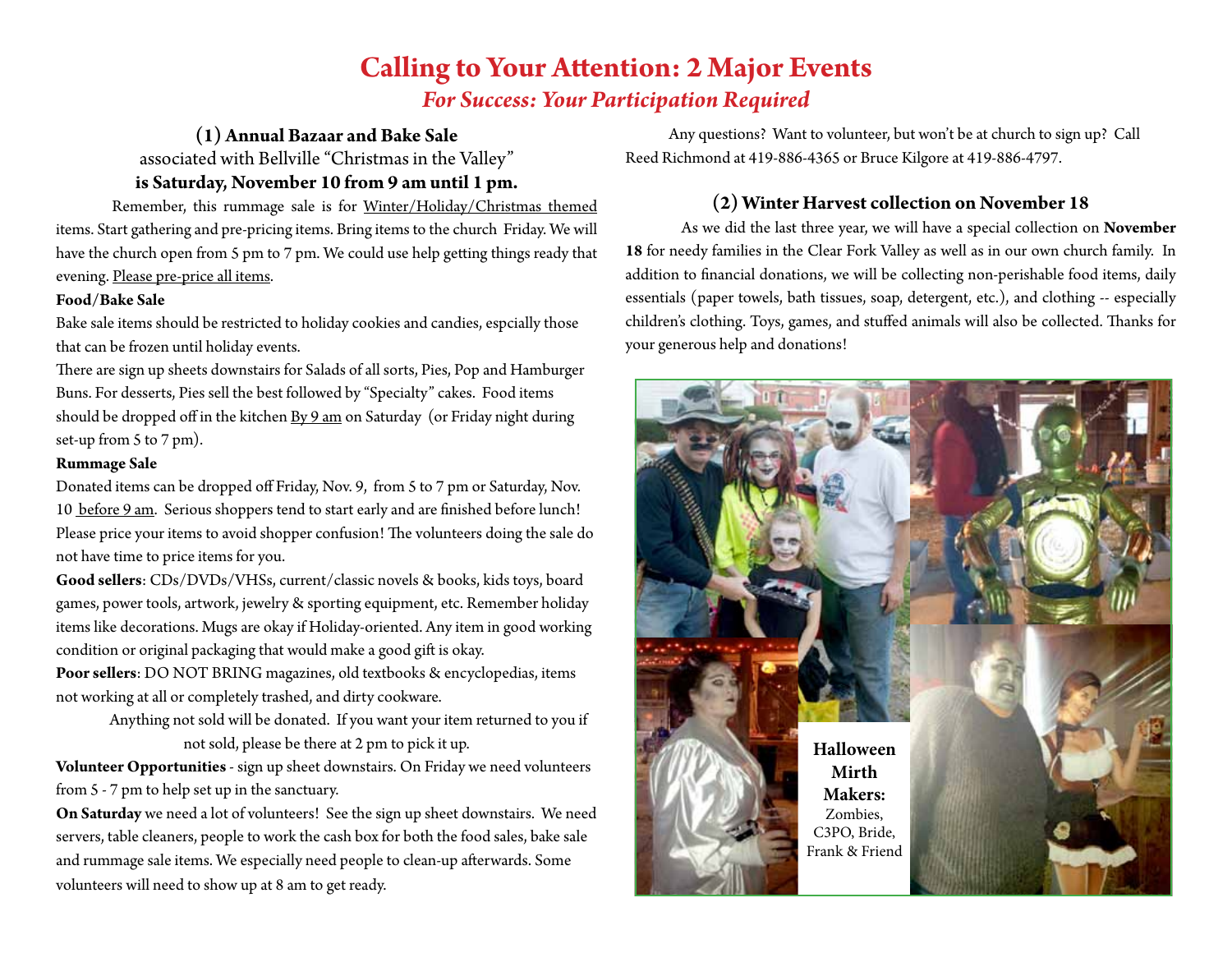# **Calling to Your Attention: 2 Major Events** *For Success: Your Participation Required*

### **(1) Annual Bazaar and Bake Sale**

associated with Bellville "Christmas in the Valley"

## **is Saturday, November 10 from 9 am until 1 pm.**

Remember, this rummage sale is for Winter/Holiday/Christmas themed items. Start gathering and pre-pricing items. Bring items to the church Friday. We will have the church open from 5 pm to 7 pm. We could use help getting things ready that evening. Please pre-price all items.

### **Food/Bake Sale**

Bake sale items should be restricted to holiday cookies and candies, espcially those that can be frozen until holiday events.

There are sign up sheets downstairs for Salads of all sorts, Pies, Pop and Hamburger Buns. For desserts, Pies sell the best followed by "Specialty" cakes. Food items should be dropped off in the kitchen By 9 am on Saturday (or Friday night during set-up from 5 to 7 pm).

### **Rummage Sale**

Donated items can be dropped off Friday, Nov. 9, from 5 to 7 pm or Saturday, Nov. 10 before 9 am. Serious shoppers tend to start early and are finished before lunch! Please price your items to avoid shopper confusion! The volunteers doing the sale do not have time to price items for you.

**Good sellers**: CDs/DVDs/VHSs, current/classic novels & books, kids toys, board games, power tools, artwork, jewelry & sporting equipment, etc. Remember holiday items like decorations. Mugs are okay if Holiday-oriented. Any item in good working condition or original packaging that would make a good gift is okay.

**Poor sellers**: DO NOT BRING magazines, old textbooks & encyclopedias, items not working at all or completely trashed, and dirty cookware.

> Anything not sold will be donated. If you want your item returned to you if not sold, please be there at 2 pm to pick it up.

**Volunteer Opportunities** - sign up sheet downstairs. On Friday we need volunteers from 5 - 7 pm to help set up in the sanctuary.

**On Saturday** we need a lot of volunteers! See the sign up sheet downstairs. We need servers, table cleaners, people to work the cash box for both the food sales, bake sale and rummage sale items. We especially need people to clean-up afterwards. Some volunteers will need to show up at 8 am to get ready.

Any questions? Want to volunteer, but won't be at church to sign up? Call Reed Richmond at 419-886-4365 or Bruce Kilgore at 419-886-4797.

### **(2) Winter Harvest collection on November 18**

As we did the last three year, we will have a special collection on **November 18** for needy families in the Clear Fork Valley as well as in our own church family. In addition to financial donations, we will be collecting non-perishable food items, daily essentials (paper towels, bath tissues, soap, detergent, etc.), and clothing -- especially children's clothing. Toys, games, and stuffed animals will also be collected. Thanks for your generous help and donations!

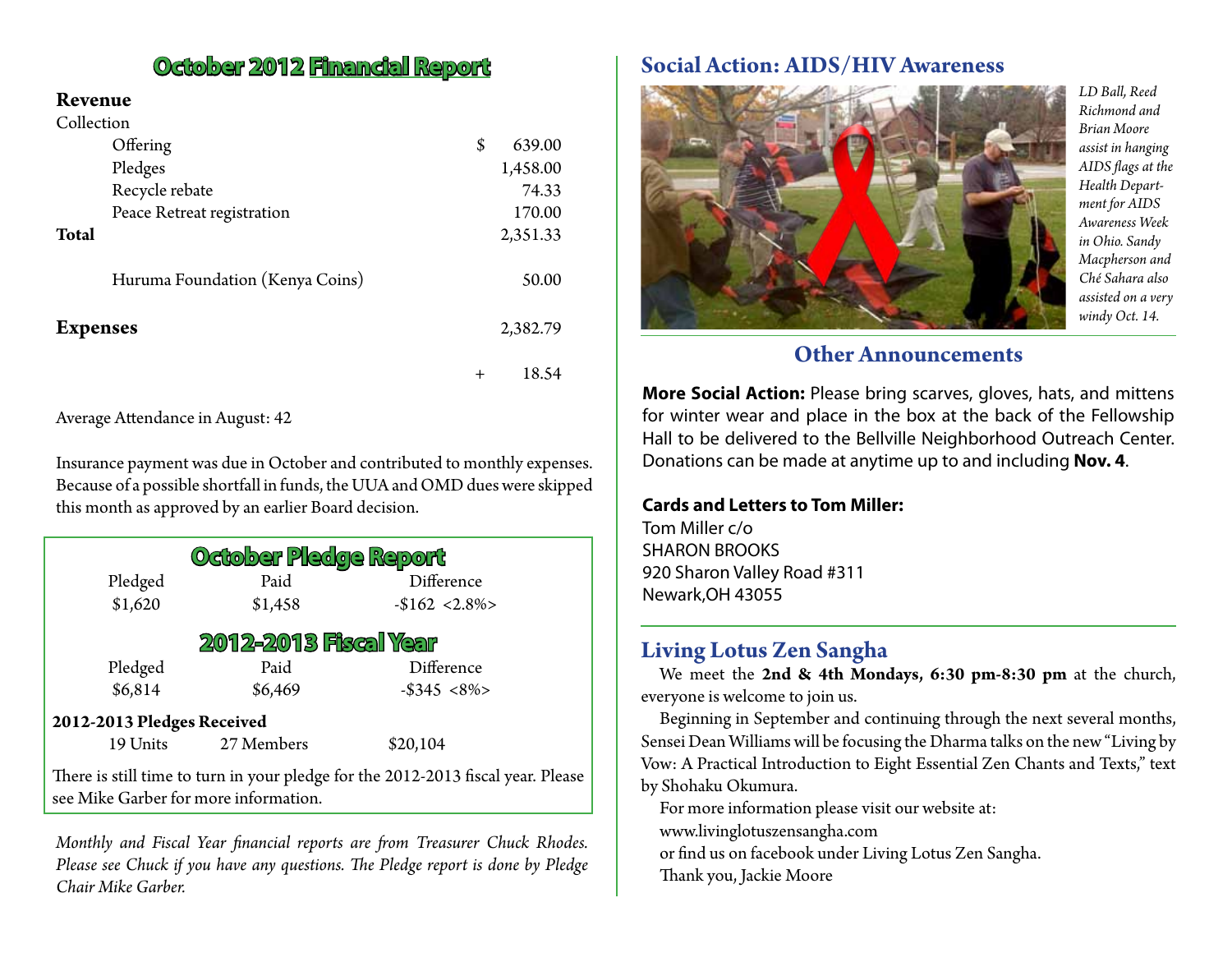### **Revenue**

| Collection                      |        |          |
|---------------------------------|--------|----------|
| Offering                        | \$     | 639.00   |
| Pledges                         |        | 1,458.00 |
| Recycle rebate                  |        | 74.33    |
| Peace Retreat registration      |        | 170.00   |
| <b>Total</b>                    |        | 2,351.33 |
| Huruma Foundation (Kenya Coins) |        | 50.00    |
| <b>Expenses</b>                 |        | 2,382.79 |
|                                 | $^{+}$ | 18.54    |

Average Attendance in August: 42

Insurance payment was due in October and contributed to monthly expenses. Because of a possible shortfall in funds, the UUA and OMD dues were skipped this month as approved by an earlier Board decision.

| October Pledge Report                                                                                                     |            |                 |  |  |  |  |  |  |
|---------------------------------------------------------------------------------------------------------------------------|------------|-----------------|--|--|--|--|--|--|
| Pledged                                                                                                                   | Paid       | Difference      |  |  |  |  |  |  |
| \$1,620                                                                                                                   | \$1,458    | $-$162 < 2.8\%$ |  |  |  |  |  |  |
| <b>2012-2013 Fiscal Year</b>                                                                                              |            |                 |  |  |  |  |  |  |
| Pledged                                                                                                                   | Paid       | Difference      |  |  |  |  |  |  |
| \$6,814                                                                                                                   | \$6,469    | $-$ \$345 <8%>  |  |  |  |  |  |  |
| 2012-2013 Pledges Received                                                                                                |            |                 |  |  |  |  |  |  |
| 19 Units                                                                                                                  | 27 Members | \$20,104        |  |  |  |  |  |  |
| There is still time to turn in your pledge for the 2012-2013 fiscal year. Please<br>see Mike Garber for more information. |            |                 |  |  |  |  |  |  |

*Monthly and Fiscal Year financial reports are from Treasurer Chuck Rhodes. Please see Chuck if you have any questions. The Pledge report is done by Pledge Chair Mike Garber.*

# **October 2012 Financial Report** Social Action: AIDS/HIV Awareness



*LD Ball, Reed Richmond and Brian Moore assist in hanging AIDS flags at the Health Department for AIDS Awareness Week in Ohio. Sandy Macpherson and Ché Sahara also assisted on a very windy Oct. 14.*

# **Other Announcements**

**More Social Action:** Please bring scarves, gloves, hats, and mittens for winter wear and place in the box at the back of the Fellowship Hall to be delivered to the Bellville Neighborhood Outreach Center. Donations can be made at anytime up to and including **Nov. 4**.

### **Cards and Letters to Tom Miller:**

Tom Miller c/o SHARON BROOKS 920 Sharon Valley Road #311 Newark,OH 43055

# **Living Lotus Zen Sangha**

We meet the **2nd & 4th Mondays, 6:30 pm-8:30 pm** at the church, everyone is welcome to join us.

Beginning in September and continuing through the next several months, Sensei Dean Williams will be focusing the Dharma talks on the new "Living by Vow: A Practical Introduction to Eight Essential Zen Chants and Texts," text by Shohaku Okumura.

For more information please visit our website at:

www.livinglotuszensangha.com

or find us on facebook under Living Lotus Zen Sangha.

Thank you, Jackie Moore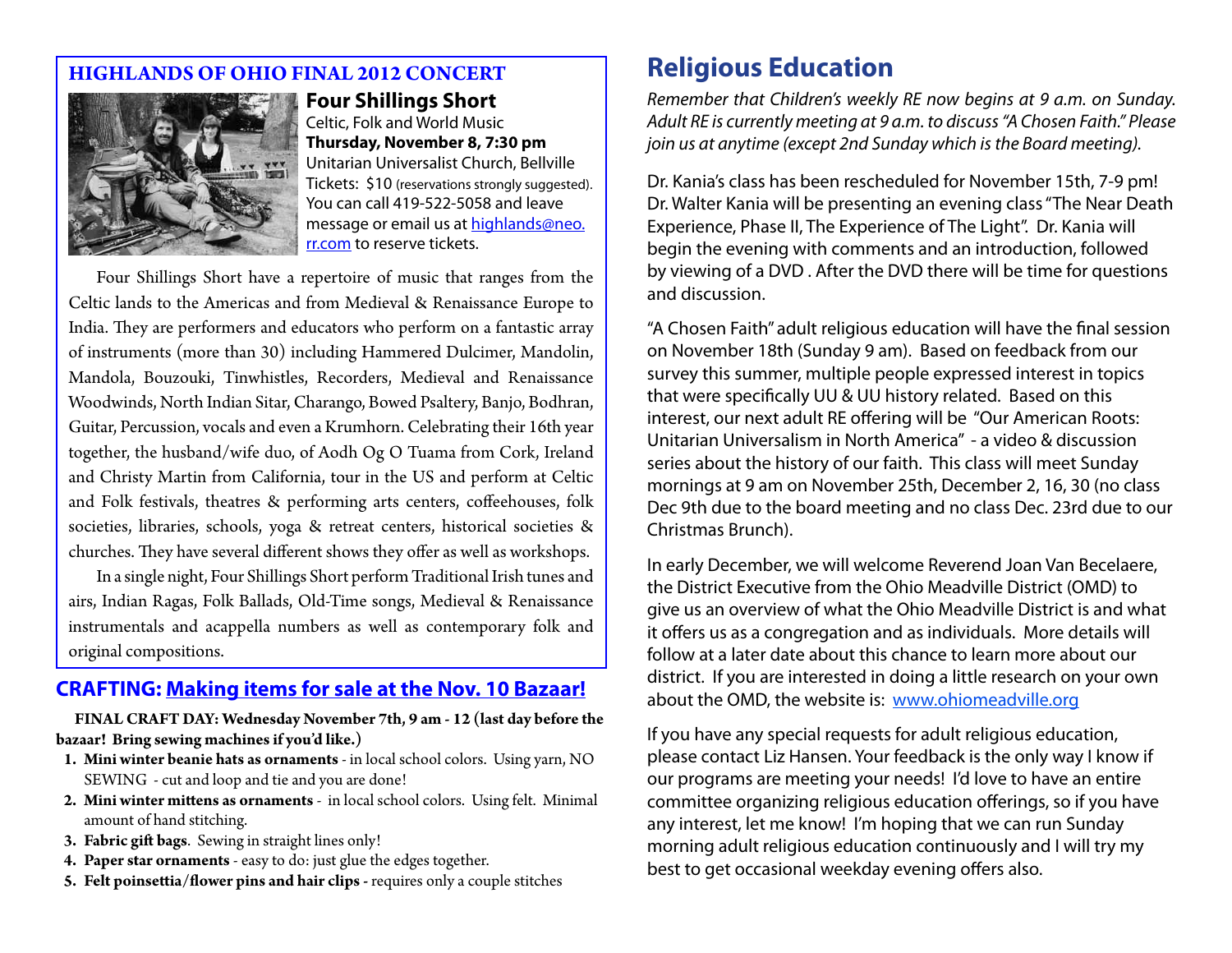# **HIGHLANDS OF OHIO FINAL 2012 CONCERT**



### **Four Shillings Short**

Celtic, Folk and World Music **Thursday, November 8, 7:30 pm** Unitarian Universalist Church, Bellville Tickets: \$10 (reservations strongly suggested). You can call 419-522-5058 and leave message or email us at highlands@neo. rr.com to reserve tickets.

Four Shillings Short have a repertoire of music that ranges from the Celtic lands to the Americas and from Medieval & Renaissance Europe to India. They are performers and educators who perform on a fantastic array of instruments (more than 30) including Hammered Dulcimer, Mandolin, Mandola, Bouzouki, Tinwhistles, Recorders, Medieval and Renaissance Woodwinds, North Indian Sitar, Charango, Bowed Psaltery, Banjo, Bodhran, Guitar, Percussion, vocals and even a Krumhorn. Celebrating their 16th year together, the husband/wife duo, of Aodh Og O Tuama from Cork, Ireland and Christy Martin from California, tour in the US and perform at Celtic and Folk festivals, theatres & performing arts centers, coffeehouses, folk societies, libraries, schools, yoga & retreat centers, historical societies & churches. They have several different shows they offer as well as workshops.

In a single night, Four Shillings Short perform Traditional Irish tunes and airs, Indian Ragas, Folk Ballads, Old-Time songs, Medieval & Renaissance instrumentals and acappella numbers as well as contemporary folk and original compositions.

# **CRAFTING: Making items for sale at the Nov. 10 Bazaar!**

**FINAL CRAFT DAY: Wednesday November 7th, 9 am - 12 (last day before the bazaar! Bring sewing machines if you'd like.)**

- **1. Mini winter beanie hats as ornaments** in local school colors. Using yarn, NO SEWING - cut and loop and tie and you are done!
- **2. Mini winter mittens as ornaments** in local school colors. Using felt. Minimal amount of hand stitching.
- **3. Fabric gift bags**. Sewing in straight lines only!
- **4. Paper star ornaments** easy to do: just glue the edges together.
- **5. Felt poinsettia/flower pins and hair clips** requires only a couple stitches

# **Religious Education**

*Remember that Children's weekly RE now begins at 9 a.m. on Sunday. Adult RE is currently meeting at 9 a.m. to discuss "A Chosen Faith." Please join us at anytime (except 2nd Sunday which is the Board meeting).*

Dr. Kania's class has been rescheduled for November 15th, 7-9 pm! Dr. Walter Kania will be presenting an evening class "The Near Death Experience, Phase II, The Experience of The Light". Dr. Kania will begin the evening with comments and an introduction, followed by viewing of a DVD . After the DVD there will be time for questions and discussion.

"A Chosen Faith" adult religious education will have the final session on November 18th (Sunday 9 am). Based on feedback from our survey this summer, multiple people expressed interest in topics that were specifically UU & UU history related. Based on this interest, our next adult RE offering will be "Our American Roots: Unitarian Universalism in North America" - a video & discussion series about the history of our faith. This class will meet Sunday mornings at 9 am on November 25th, December 2, 16, 30 (no class Dec 9th due to the board meeting and no class Dec. 23rd due to our Christmas Brunch).

In early December, we will welcome Reverend Joan Van Becelaere, the District Executive from the Ohio Meadville District (OMD) to give us an overview of what the Ohio Meadville District is and what it offers us as a congregation and as individuals. More details will follow at a later date about this chance to learn more about our district. If you are interested in doing a little research on your own about the OMD, the website is: www.ohiomeadville.org

If you have any special requests for adult religious education, please contact Liz Hansen. Your feedback is the only way I know if our programs are meeting your needs! I'd love to have an entire committee organizing religious education offerings, so if you have any interest, let me know! I'm hoping that we can run Sunday morning adult religious education continuously and I will try my best to get occasional weekday evening offers also.